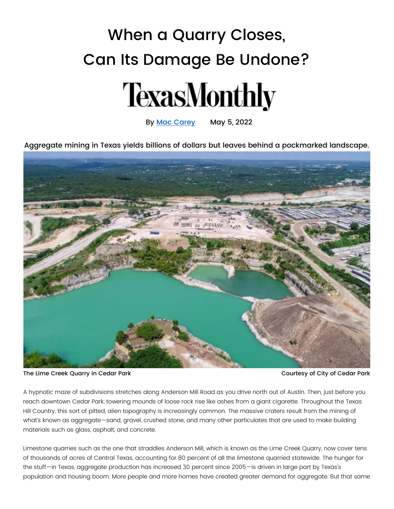## When a Quarry Closes, Can Its Damage Be Undone?



By [Mac Carey](https://www.texasmonthly.com/author/mac-carey/) May 5, 2022

Aggregate mining in Texas yields billions of dollars but leaves behind a pockmarked landscape.



The Lime Creek Quarry in Cedar Park Courtesy of City of Cedar Park

A hypnotic maze of subdivisions stretches along Anderson Mill Road as you drive north out of Austin. Then, just before you reach downtown Cedar Park, towering mounds of loose rock rise like ashes from a giant cigarette. Throughout the Texas Hill Country, this sort of pitted, alien topography is increasingly common. The massive craters result from the mining of what's known as aggregate—sand, gravel, crushed stone, and many other particulates that are used to make building materials such as glass, asphalt, and concrete.

Limestone quarries such as the one that straddles Anderson Mill, which is known as the Lime Creek Quarry, now cover tens of thousands of acres of Central Texas, accounting for 80 percent of all the limestone quarried statewide. The hunger for the stuff—in Texas, aggregate production has increased 30 percent since 2005—is driven in large part by Texas's population and housing boom. More people and more homes have created greater demand for aggregate. But that same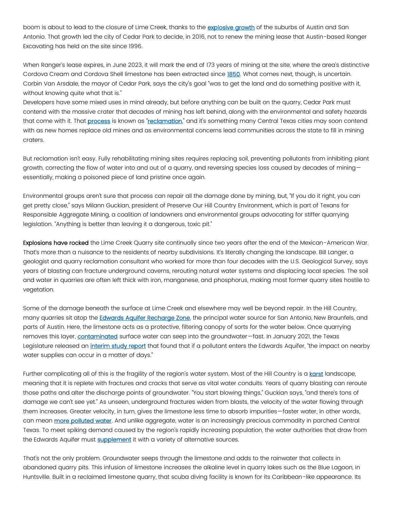boom is about to lead to the closure of Lime Creek, thanks to the [explosive growth](https://www.census.gov/library/stories/2017/08/texas-population-trends.html) of the suburbs of Austin and San Antonio. That growth led the city of Cedar Park to decide, in 2016, not to renew the mining lease that Austin-based Ranger Excavating has held on the site since 1996.

When Ranger's lease expires, in June 2023, it will mark the end of 173 years of mining at the site, where the area's distinctive Cordova Cream and Cordova Shell limestone has been extracted since [1850.](https://visitcedarparktexas.com/cedar-park-history/timeline/) What comes next, though, is uncertain. Corbin Van Arsdale, the mayor of Cedar Park, says the city's goal "was to get the land and do something positive with it, without knowing quite what that is."

Developers have some mixed uses in mind already, but before anything can be built on the quarry, Cedar Park must contend with the massive crater that decades of mining has left behind, along with the environmental and safety hazards that come with it. That [process](https://pubs.usgs.gov/circ/0731/report.pdf) is known as "[reclamation](https://pubs.usgs.gov/of/2001/ofr-01-0484/ofr-01-0484po.pdf)," and it's something many Central Texas cities may soon contend with as new homes replace old mines and as environmental concerns lead communities across the state to fill in mining craters.

But reclamation isn't easy. Fully rehabilitating mining sites requires replacing soil, preventing pollutants from inhibiting plant growth, correcting the flow of water into and out of a quarry, and reversing species loss caused by decades of mining essentially, making a poisoned piece of land pristine once again.

Environmental groups aren't sure that process can repair all the damage done by mining, but, "If you do it right, you can get pretty close," says Milann Guckian, president of Preserve Our Hill Country Environment, which is part of Texans for Responsible Aggregate Mining, a coalition of landowners and environmental groups advocating for stiffer quarrying legislation. "Anything is better than leaving it a dangerous, toxic pit."

Explosions have rocked the Lime Creek Quarry site continually since two years after the end of the Mexican-American War. That's more than a nuisance to the residents of nearby subdivisions. It's literally changing the landscape. Bill Langer, a geologist and quarry reclamation consultant who worked for more than four decades with the U.S. Geological Survey, says years of blasting can fracture underground caverns, rerouting natural water systems and displacing local species. The soil and water in quarries are often left thick with iron, manganese, and phosphorus, making most former quarry sites hostile to vegetation.

Some of the damage beneath the surface at Lime Creek and elsewhere may well be beyond repair. In the Hill Country, many quarries sit atop the [Edwards Aquifer Recharge Zone,](https://www.tceq.texas.gov/waterquality/nonpoint-source/projects/quarry-bmpguide) the principal water source for San Antonio, New Braunfels, and parts of Austin. Here, the limestone acts as a protective, filtering canopy of sorts for the water below. Once quarrying removes this layer, [contaminated](https://pubs.usgs.gov/of/2001/ofr-01-0484/ofr-01-0484po.pdf) surface water can seep into the groundwater-fast. In January 2021, the Texas Legislature released an *[interim study report](https://house.texas.gov/_media/pdf/committees/reports/86interim/Aggregate-Production-Operations-Committee-Interim-Report-2018.pdf)* that found that if a pollutant enters the Edwards Aquifer, "the impact on nearby water supplies can occur in a matter of days."

Further complicating all of this is the fragility of the region's water system. Most of the Hill Country is a [karst](https://www.edwardsaquifer.org/science-maps/about-the-edwards-aquifer/) landscape, meaning that it is replete with fractures and cracks that serve as vital water conduits. Years of quarry blasting can reroute those paths and alter the discharge points of groundwater. "You start blowing things," Guckian says, "and there's tons of damage we can't see yet." As unseen, underground fractures widen from blasts, the velocity of the water flowing through them increases. Greater velocity, in turn, gives the limestone less time to absorb impurities—faster water, in other words, can mean [more polluted water.](https://pubs.usgs.gov/of/2001/ofr-01-0484/ofr-01-0484po.pdf) And unlike aggregate, water is an increasingly precious commodity in parched Central Texas. To meet spiking demand caused by the region's rapidly increasing population, the water authorities that draw from the Edwards Aquifer must [supplement](http://www.twdb.texas.gov/waterplanning/swp/2017/doc/2017_swp_adopted.pdf) it with a variety of alternative sources.

That's not the only problem. Groundwater seeps through the limestone and adds to the rainwater that collects in abandoned quarry pits. This infusion of limestone increases the alkaline level in quarry lakes such as the Blue Lagoon, in Huntsville. Built in a reclaimed limestone quarry, that scuba diving facility is known for its Caribbean-like appearance. Its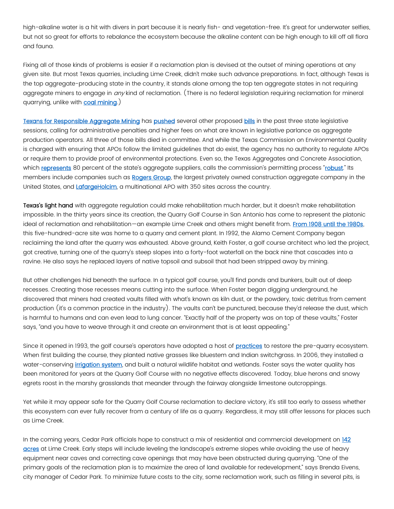high-alkaline water is a hit with divers in part because it is nearly fish- and vegetation-free. It's great for underwater selfies, but not so great for efforts to rebalance the ecosystem because the alkaline content can be high enough to kill off all flora and fauna.

Fixing all of those kinds of problems is easier if a reclamation plan is devised at the outset of mining operations at any given site. But most Texas quarries, including Lime Creek, didn't make such advance preparations. In fact, although Texas is the top aggregate-producing state in the country, it stands alone among the top ten aggregate states in not requiring aggregate miners to engage in  $a\eta y$  kind of reclamation. (There is no federal legislation requiring reclamation for mineral quarrying, unlike with **coal mining**.)

[Texans for Responsible Aggregate Mining](https://www.tramtexas.org/) has [pushed](https://legiscan.com/TX/bill/HB4341/2021%20%20https:/legiscan.com/TX/bill/HB291/2021%20%20https:/legiscan.com/TX/bill/HB4478/2021%20Sid%20Mahanta%20Sid%20Mahanta%203:06%20PM%20Yesterday%20Just%20to%20double%20check:%20We%20are%20confident%20this%20is%20the%20case,%20right?%20As%20I%20noted%20earlier,%20would%20be%20good%20to%20check%20campaign%20finance%20disclosures/records%20to%20make%20sure%20we%27re%20bullet%20proof%20here.%20Mac%20Carey%20Mac%20Carey%2012:23%20PM%20Today%20See%20my%20link%20above.%20%20This%20was%20also%20reported%20in%20the%20USA%20Today%20feature:%20https://stories.usatodaynetwork.com/a-world-rocked/%20Mac%20Carey%20Turn%20on%20screen%20reader%20support%20%20TX%20HB2422%20%7C%202021-2022%20%7C%2087th%20Legislature%20%7C%20LegiScan) several other proposed [bills](https://legiscan.com/TX/bill/HB291/2021) in the past three state legislative sessions, calling for administrative penalties and higher fees on what are known in legislative parlance as aggregate production operators. All three of those bills died in committee. And while the Texas Commission on Environmental Quality is charged with ensuring that APOs follow the limited guidelines that do exist, the agency has no authority to regulate APOs or require them to provide proof of environmental protections. Even so, the Texas Aggregates and Concrete Association, which [represents](https://www.tx-taca.org/) 80 percent of the state's aggregate suppliers, calls the commission's permitting process "[robust](https://www.tx-taca.org/files/TACA-Industry-Highly-Regulated-April-2019.pdf)." Its members include companies such as [Rogers Group,](https://www.tacaconveyor-digital.com/tacq/0321_third_quarter_2021/MobilePagedArticle.action?articleId=1731609#articleId1731609) the largest privately owned construction aggregate company in the United States, and [LafargeHolcim,](https://www.tacaconveyor-digital.com/tacq/0421_fourth_quarter_2021/MobilePagedArticle.action?articleId=1747818&lm=1638471093000#articleId1747818) a multinational APO with 350 sites across the country.

Texas's light hand with aggregate regulation could make rehabilitation much harder, but it doesn't make rehabilitation impossible. In the thirty years since its creation, the Quarry Golf Course in San Antonio has come to represent the platonic ideal of reclamation and rehabilitation—an example Lime Creek and others might benefit from. From 1908 until the 1980s, this five-hundred-acre site was home to a quarry and cement plant. In 1992, the Alamo Cement Company began reclaiming the land after the quarry was exhausted. Above ground, Keith Foster, a golf course architect who led the project, got creative, turning one of the quarry's steep slopes into a forty-foot waterfall on the back nine that cascades into a ravine. He also says he replaced layers of native topsoil and subsoil that had been stripped away by mining.

But other challenges hid beneath the surface. In a typical golf course, you'll find ponds and bunkers, built out of deep recesses. Creating those recesses means cutting into the surface. When Foster began digging underground, he discovered that miners had created vaults filled with what's known as kiln dust, or the powdery, toxic detritus from cement production (it's a common practice in the industry). The vaults can't be punctured, because they'd release the dust, which is harmful to humans and can even lead to lung cancer. "Exactly half of the property was on top of these vaults," Foster says, "and you have to weave through it and create an environment that is at least appealing."

Since it opened in 1993, the golf course's operators have adopted a host of [practices](https://publuu.com/flip-book/7677/16165/page/32) to restore the pre-quarry ecosystem. When first building the course, they planted native grasses like bluestem and Indian switchgrass. In 2006, they installed a water-conserving *irrigation system*, and built a natural wildlife habitat and wetlands. Foster says the water quality has been monitored for years at the Quarry Golf Course with no negative effects discovered. Today, blue herons and snowy egrets roost in the marshy grasslands that meander through the fairway alongside limestone outcroppings.

Yet while it may appear safe for the Quarry Golf Course reclamation to declare victory, it's still too early to assess whether this ecosystem can ever fully recover from a century of life as a quarry. Regardless, it may still offer lessons for places such as Lime Creek.

In the coming years, Cedar Park officials hope to construct a mix of residential and commercial development on 142 [acres](https://www.cedarparktexas.gov/home/showpublisheddocument/15690/637432969873700000) at Lime Creek. Early steps will include leveling the landscape's extreme slopes while avoiding the use of heavy equipment near caves and correcting cave openings that may have been obstructed during quarrying. "One of the primary goals of the reclamation plan is to maximize the area of land available for redevelopment," says Brenda Eivens, city manager of Cedar Park. To minimize future costs to the city, some reclamation work, such as filling in several pits, is